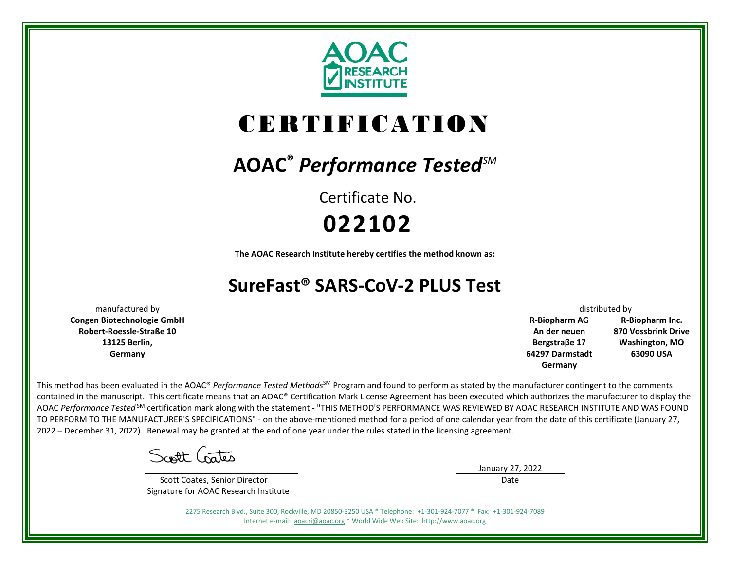

# CERTIFICATION

## **AOAC®** *Performance TestedSM*

Certificate No. **022102**

**The AOAC Research Institute hereby certifies the method known as:**

### **SureFast® SARS-CoV-2 PLUS Test**

**Congen Biotechnologie GmbH Robert-Roessle-Straße 10 13125 Berlin, Germany**

manufactured by distributed by the control of the control of the control of the control of the control of the control of the control of the control of the control of the control of the control of the control of the control **R-Biopharm AG An der neuen Bergstraβe 17 64297 Darmstadt Germany R-Biopharm Inc. 870 Vossbrink Drive Washington, MO 63090 USA**

This method has been evaluated in the AOAC® Performance Tested Methods<sup>SM</sup> Program and found to perform as stated by the manufacturer contingent to the comments contained in the manuscript. This certificate means that an AOAC® Certification Mark License Agreement has been executed which authorizes the manufacturer to display the AOAC *Performance Tested* SM certification mark along with the statement - "THIS METHOD'S PERFORMANCE WAS REVIEWED BY AOAC RESEARCH INSTITUTE AND WAS FOUND TO PERFORM TO THE MANUFACTURER'S SPECIFICATIONS" - on the above-mentioned method for a period of one calendar year from the date of this certificate (January 27, 2022 – December 31, 2022). Renewal may be granted at the end of one year under the rules stated in the licensing agreement.

Scott Crates

 Scott Coates, Senior Director Signature for AOAC Research Institute January 27, 2022 Date

2275 Research Blvd., Suite 300, Rockville, MD 20850-3250 USA \* Telephone: +1-301-924-7077 \* Fax: +1-301-924-7089 Internet e-mail: [aoacri@aoac.org](mailto:aoacri@aoac.org) \* World Wide Web Site: http://www.aoac.org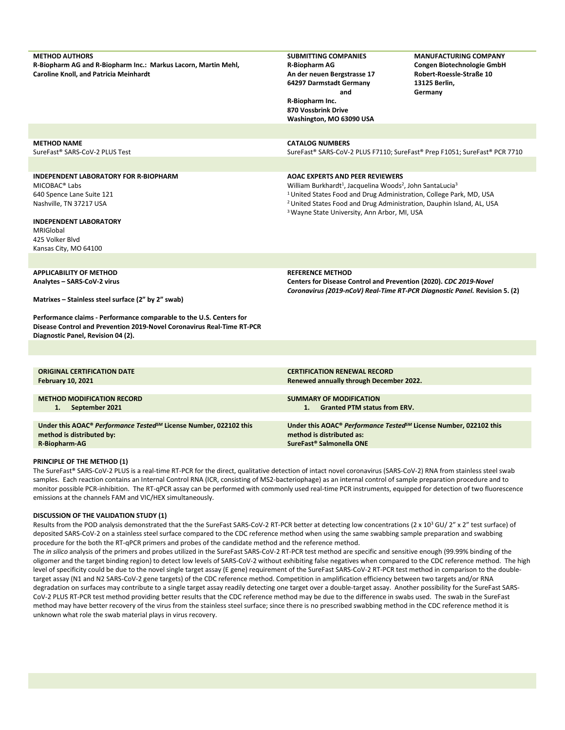| <b>METHOD AUTHORS</b><br>R-Biopharm AG and R-Biopharm Inc.: Markus Lacorn, Martin Mehl,<br><b>Caroline Knoll, and Patricia Meinhardt</b>                                                                                    | <b>SUBMITTING COMPANIES</b><br>R-Biopharm AG<br>An der neuen Bergstrasse 17<br>64297 Darmstadt Germany<br>and<br>R-Biopharm Inc.<br>870 Vossbrink Drive<br>Washington, MO 63090 USA                                                                                                                                                                                      | <b>MANUFACTURING COMPANY</b><br>Congen Biotechnologie GmbH<br>Robert-Roessle-Straße 10<br>13125 Berlin,<br>Germany |  |  |  |  |
|-----------------------------------------------------------------------------------------------------------------------------------------------------------------------------------------------------------------------------|--------------------------------------------------------------------------------------------------------------------------------------------------------------------------------------------------------------------------------------------------------------------------------------------------------------------------------------------------------------------------|--------------------------------------------------------------------------------------------------------------------|--|--|--|--|
|                                                                                                                                                                                                                             |                                                                                                                                                                                                                                                                                                                                                                          |                                                                                                                    |  |  |  |  |
| <b>METHOD NAME</b><br>SureFast® SARS-CoV-2 PLUS Test                                                                                                                                                                        | <b>CATALOG NUMBERS</b><br>SureFast® SARS-CoV-2 PLUS F7110; SureFast® Prep F1051; SureFast® PCR 7710                                                                                                                                                                                                                                                                      |                                                                                                                    |  |  |  |  |
| <b>INDEPENDENT LABORATORY FOR R-BIOPHARM</b><br>MICOBAC <sup>®</sup> Labs<br>640 Spence Lane Suite 121<br>Nashville, TN 37217 USA<br><b>INDEPENDENT LABORATORY</b><br>MRIGIobal<br>425 Volker Blvd<br>Kansas City, MO 64100 | <b>AOAC EXPERTS AND PEER REVIEWERS</b><br>William Burkhardt <sup>1</sup> , Jacquelina Woods <sup>2</sup> , John SantaLucia <sup>3</sup><br><sup>1</sup> United States Food and Drug Administration, College Park, MD, USA<br><sup>2</sup> United States Food and Drug Administration, Dauphin Island, AL, USA<br><sup>3</sup> Wayne State University, Ann Arbor, MI, USA |                                                                                                                    |  |  |  |  |
|                                                                                                                                                                                                                             |                                                                                                                                                                                                                                                                                                                                                                          |                                                                                                                    |  |  |  |  |
| <b>APPLICABILITY OF METHOD</b><br>Analytes - SARS-CoV-2 virus<br>Matrixes - Stainless steel surface (2" by 2" swab)                                                                                                         | <b>REFERENCE METHOD</b><br>Centers for Disease Control and Prevention (2020). CDC 2019-Novel<br>Coronavirus (2019-nCoV) Real-Time RT-PCR Diagnostic Panel. Revision 5. (2)                                                                                                                                                                                               |                                                                                                                    |  |  |  |  |
| Performance claims - Performance comparable to the U.S. Centers for<br>Disease Control and Prevention 2019-Novel Coronavirus Real-Time RT-PCR<br>Diagnostic Panel, Revision 04 (2).                                         |                                                                                                                                                                                                                                                                                                                                                                          |                                                                                                                    |  |  |  |  |
|                                                                                                                                                                                                                             |                                                                                                                                                                                                                                                                                                                                                                          |                                                                                                                    |  |  |  |  |
|                                                                                                                                                                                                                             |                                                                                                                                                                                                                                                                                                                                                                          |                                                                                                                    |  |  |  |  |
| <b>ORIGINAL CERTIFICATION DATE</b><br><b>February 10, 2021</b>                                                                                                                                                              | <b>CERTIFICATION RENEWAL RECORD</b><br>Renewed annually through December 2022.                                                                                                                                                                                                                                                                                           |                                                                                                                    |  |  |  |  |
| <b>METHOD MODIFICATION RECORD</b><br>September 2021<br>1.                                                                                                                                                                   | <b>SUMMARY OF MODIFICATION</b><br>1. Granted PTM status from ERV.<br>Under this AOAC® Performance Tested <sup>SM</sup> License Number, 022102 this<br>method is distributed as:<br>SureFast <sup>®</sup> Salmonella ONE                                                                                                                                                  |                                                                                                                    |  |  |  |  |
| Under this AOAC® Performance Tested <sup>SM</sup> License Number, 022102 this<br>method is distributed by:<br>R-Biopharm-AG                                                                                                 |                                                                                                                                                                                                                                                                                                                                                                          |                                                                                                                    |  |  |  |  |

#### **PRINCIPLE OF THE METHOD (1)**

The SureFast® SARS-CoV-2 PLUS is a real-time RT-PCR for the direct, qualitative detection of intact novel coronavirus (SARS-CoV-2) RNA from stainless steel swab samples. Each reaction contains an Internal Control RNA (ICR, consisting of MS2-bacteriophage) as an internal control of sample preparation procedure and to monitor possible PCR-inhibition. The RT-qPCR assay can be performed with commonly used real-time PCR instruments, equipped for detection of two fluorescence emissions at the channels FAM and VIC/HEX simultaneously.

#### **DISCUSSION OF THE VALIDATION STUDY (1)**

Results from the POD analysis demonstrated that the the SureFast SARS-CoV-2 RT-PCR better at detecting low concentrations (2 x 10<sup>3</sup> GU/ 2" x 2" test surface) of deposited SARS-CoV-2 on a stainless steel surface compared to the CDC reference method when using the same swabbing sample preparation and swabbing procedure for the both the RT-qPCR primers and probes of the candidate method and the reference method.

The *in silico* analysis of the primers and probes utilized in the SureFast SARS-CoV-2 RT-PCR test method are specific and sensitive enough (99.99% binding of the oligomer and the target binding region) to detect low levels of SARS-CoV-2 without exhibiting false negatives when compared to the CDC reference method. The high level of specificity could be due to the novel single target assay (E gene) requirement of the SureFast SARS-CoV-2 RT-PCR test method in comparison to the doubletarget assay (N1 and N2 SARS-CoV-2 gene targets) of the CDC reference method. Competition in amplification efficiency between two targets and/or RNA degradation on surfaces may contribute to a single target assay readily detecting one target over a double-target assay. Another possibility for the SureFast SARS-CoV-2 PLUS RT-PCR test method providing better results that the CDC reference method may be due to the difference in swabs used. The swab in the SureFast method may have better recovery of the virus from the stainless steel surface; since there is no prescribed swabbing method in the CDC reference method it is unknown what role the swab material plays in virus recovery.